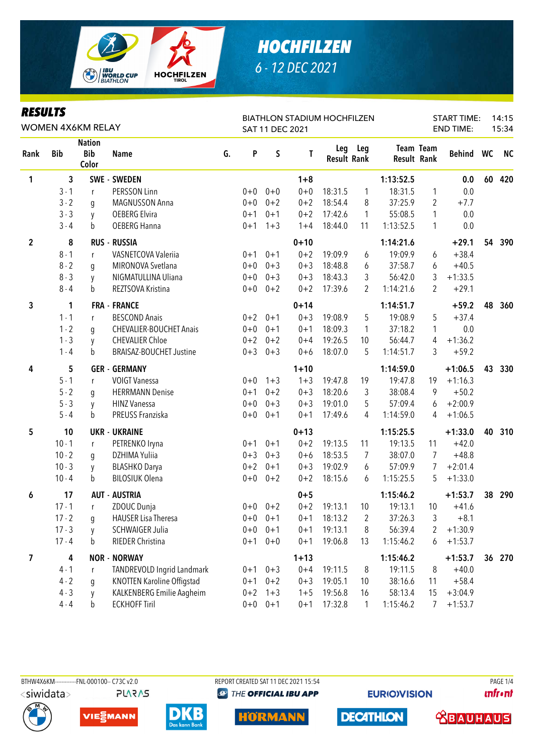

# **HOCHFILZEN** 6 - 12 DEC 2021

### **RESULTS**

| WOMEN 4X6KM RELAY |              |                                      |                                   |    |         | SAT 11 DEC 2021 |             | <b>BIATHLON STADIUM HOCHFILZEN</b> |              |                    |                         | START TIME:<br><b>END TIME:</b> |    | 14:15<br>15:34 |
|-------------------|--------------|--------------------------------------|-----------------------------------|----|---------|-----------------|-------------|------------------------------------|--------------|--------------------|-------------------------|---------------------------------|----|----------------|
| Rank              | <b>Bib</b>   | <b>Nation</b><br><b>Bib</b><br>Color | <b>Name</b>                       | G. | P       | $\mathsf S$     | $\mathbf T$ | Leg<br><b>Result Rank</b>          | Leg          | <b>Result Rank</b> | <b>Team Team</b>        | Behind WC                       |    | <b>NC</b>      |
| 1                 | $\mathbf{3}$ |                                      | <b>SWE - SWEDEN</b>               |    |         |                 | $1 + 8$     |                                    |              | 1:13:52.5          |                         | 0.0                             | 60 | 420            |
|                   | $3 - 1$      | r                                    | PERSSON Linn                      |    | $0 + 0$ | $0 + 0$         | $0 + 0$     | 18:31.5                            | $\mathbf{1}$ | 18:31.5            | 1                       | 0.0                             |    |                |
|                   | $3 - 2$      | g                                    | MAGNUSSON Anna                    |    | $0 + 0$ | $0 + 2$         | $0 + 2$     | 18:54.4                            | 8            | 37:25.9            | $\overline{2}$          | $+7.7$                          |    |                |
|                   | $3 - 3$      | y                                    | <b>OEBERG Elvira</b>              |    | $0 + 1$ | $0 + 1$         | $0 + 2$     | 17:42.6                            | 1            | 55:08.5            | 1                       | 0.0                             |    |                |
|                   | $3 - 4$      | b                                    | <b>OEBERG Hanna</b>               |    | $0 + 1$ | $1 + 3$         | $1 + 4$     | 18:44.0                            | 11           | 1:13:52.5          | 1                       | 0.0                             |    |                |
| $\mathbf 2$       | 8            |                                      | <b>RUS - RUSSIA</b>               |    |         |                 | $0 + 10$    |                                    |              | 1:14:21.6          |                         | $+29.1$                         | 54 | 390            |
|                   | $8 - 1$      | r                                    | VASNETCOVA Valeriia               |    | $0 + 1$ | $0 + 1$         | $0 + 2$     | 19:09.9                            | 6            | 19:09.9            | 6                       | $+38.4$                         |    |                |
|                   | $8 - 2$      | g                                    | MIRONOVA Svetlana                 |    | $0 + 0$ | $0 + 3$         | $0 + 3$     | 18:48.8                            | 6            | 37:58.7            | 6                       | $+40.5$                         |    |                |
|                   | $8 - 3$      | y                                    | NIGMATULLINA Uliana               |    | $0+0$   | $0 + 3$         | $0 + 3$     | 18:43.3                            | 3            | 56:42.0            | 3                       | $+1:33.5$                       |    |                |
|                   | $8 - 4$      | b                                    | REZTSOVA Kristina                 |    | $0+0$   | $0 + 2$         | $0 + 2$     | 17:39.6                            | 2            | 1:14:21.6          | 2                       | $+29.1$                         |    |                |
| 3                 | 1            |                                      | <b>FRA - FRANCE</b>               |    |         |                 | $0 + 14$    |                                    |              | 1:14:51.7          |                         | $+59.2$                         | 48 | 360            |
|                   | $1 - 1$      | r                                    | <b>BESCOND Anais</b>              |    | $0 + 2$ | $0 + 1$         | $0 + 3$     | 19:08.9                            | 5            | 19:08.9            | 5                       | $+37.4$                         |    |                |
|                   | $1 - 2$      | g                                    | <b>CHEVALIER-BOUCHET Anais</b>    |    | $0+0$   | $0 + 1$         | $0 + 1$     | 18:09.3                            | 1            | 37:18.2            | 1                       | 0.0                             |    |                |
|                   | $1 - 3$      | y                                    | <b>CHEVALIER Chloe</b>            |    | $0 + 2$ | $0 + 2$         | $0 + 4$     | 19:26.5                            | 10           | 56:44.7            | 4                       | $+1:36.2$                       |    |                |
|                   | $1 - 4$      | b                                    | <b>BRAISAZ-BOUCHET Justine</b>    |    | $0 + 3$ | $0 + 3$         | $0 + 6$     | 18:07.0                            | 5            | 1:14:51.7          | 3                       | $+59.2$                         |    |                |
| 4                 | 5            |                                      | <b>GER - GERMANY</b>              |    |         |                 | $1 + 10$    |                                    |              | 1:14:59.0          |                         | $+1:06.5$                       | 43 | 330            |
|                   | $5 - 1$      | r                                    | <b>VOIGT Vanessa</b>              |    | $0 + 0$ | $1 + 3$         | $1 + 3$     | 19:47.8                            | 19           | 19:47.8            | 19                      | $+1:16.3$                       |    |                |
|                   | $5 - 2$      | g                                    | <b>HERRMANN Denise</b>            |    | $0 + 1$ | $0 + 2$         | $0 + 3$     | 18:20.6                            | 3            | 38:08.4            | 9                       | $+50.2$                         |    |                |
|                   | $5 - 3$      | y                                    | <b>HINZ Vanessa</b>               |    | $0+0$   | $0 + 3$         | $0 + 3$     | 19:01.0                            | 5            | 57:09.4            | 6                       | $+2:00.9$                       |    |                |
|                   | $5 - 4$      | b                                    | PREUSS Franziska                  |    | $0+0$   | $0 + 1$         | $0 + 1$     | 17:49.6                            | 4            | 1:14:59.0          | 4                       | $+1:06.5$                       |    |                |
| 5                 | 10           |                                      | <b>UKR - UKRAINE</b>              |    |         |                 | $0 + 13$    |                                    |              | 1:15:25.5          |                         | $+1:33.0$                       | 40 | 310            |
|                   | $10 - 1$     | $\mathsf{r}$                         | PETRENKO Iryna                    |    | $0 + 1$ | $0 + 1$         | $0 + 2$     | 19:13.5                            | 11           | 19:13.5            | 11                      | $+42.0$                         |    |                |
|                   | $10 - 2$     | g                                    | DZHIMA Yuliia                     |    | $0 + 3$ | $0 + 3$         | $0 + 6$     | 18:53.5                            | 7            | 38:07.0            | 7                       | $+48.8$                         |    |                |
|                   | $10 - 3$     | y                                    | <b>BLASHKO Darya</b>              |    | $0 + 2$ | $0 + 1$         | $0 + 3$     | 19:02.9                            | 6            | 57:09.9            | 7                       | $+2:01.4$                       |    |                |
|                   | $10 - 4$     | b                                    | <b>BILOSIUK Olena</b>             |    | $0+0$   | $0 + 2$         | $0 + 2$     | 18:15.6                            | 6            | 1:15:25.5          | 5                       | $+1:33.0$                       |    |                |
| 6                 | 17           |                                      | <b>AUT - AUSTRIA</b>              |    |         |                 | $0 + 5$     |                                    |              | 1:15:46.2          |                         | $+1:53.7$                       | 38 | 290            |
|                   | $17 - 1$     | r                                    | ZDOUC Dunja                       |    |         | $0+0$ $0+2$     | $0 + 2$     | 19:13.1                            | 10           | 19:13.1            | 10                      | $+41.6$                         |    |                |
|                   | $17 - 2$     | g                                    | <b>HAUSER Lisa Theresa</b>        |    |         | $0+0$ $0+1$     | $0 + 1$     | 18:13.2                            | $\mathbf{2}$ | 37:26.3            | $\overline{\mathbf{3}}$ | $+8.1$                          |    |                |
|                   | $17 - 3$     | y                                    | <b>SCHWAIGER Julia</b>            |    |         | $0+0$ $0+1$     | $0 + 1$     | 19:13.1                            | 8            | 56:39.4            | 2                       | $+1:30.9$                       |    |                |
|                   | $17 - 4$     | b                                    | RIEDER Christina                  |    |         | $0+1$ $0+0$     | $0 + 1$     | 19:06.8                            | 13           | 1:15:46.2          | 6                       | $+1:53.7$                       |    |                |
| 7                 | 4            |                                      | <b>NOR - NORWAY</b>               |    |         |                 | $1 + 13$    |                                    |              | 1:15:46.2          |                         | $+1:53.7$                       | 36 | 270            |
|                   | $4 - 1$      | r                                    | TANDREVOLD Ingrid Landmark        |    |         | $0+1$ $0+3$     | $0 + 4$     | 19:11.5                            | 8            | 19:11.5            | 8                       | $+40.0$                         |    |                |
|                   | $4 - 2$      | g                                    | <b>KNOTTEN Karoline Offigstad</b> |    | $0 + 1$ | $0 + 2$         | $0 + 3$     | 19:05.1                            | 10           | 38:16.6            | 11                      | $+58.4$                         |    |                |
|                   | $4 - 3$      | y                                    | KALKENBERG Emilie Aagheim         |    | $0 + 2$ | $1 + 3$         | $1 + 5$     | 19:56.8                            | 16           | 58:13.4            | 15                      | $+3:04.9$                       |    |                |
|                   | $4 - 4$      | b                                    | <b>ECKHOFF Tiril</b>              |    | $0+0$   | $0 + 1$         | $0 + 1$     | 17:32.8                            | $\mathbf{1}$ | 1:15:46.2          | 7                       | $+1:53.7$                       |    |                |

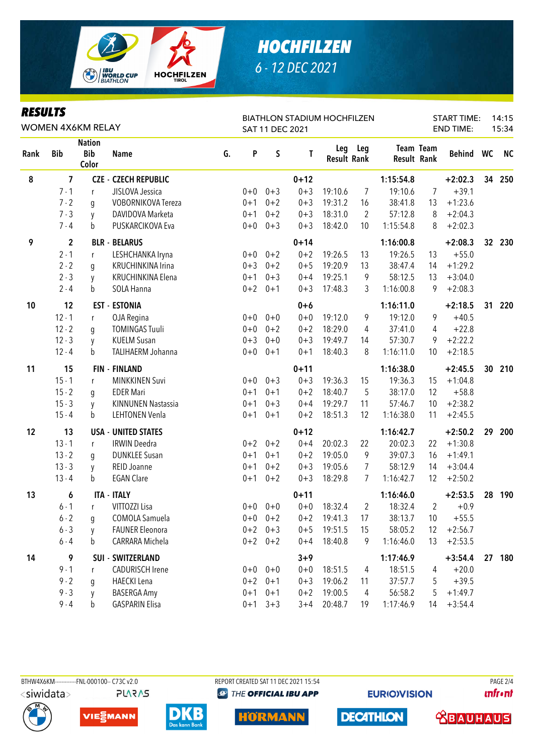

# **HOCHFILZEN** 6 - 12 DEC 2021

| <b>RESULTS</b> |  |
|----------------|--|
|----------------|--|

| KEJULIJ<br><b>WOMEN 4X6KM RELAY</b> |                         |                                      |                             |    |         | SAT 11 DEC 2021 |          | <b>BIATHLON STADIUM HOCHFILZEN</b> |                |                    | <b>START TIME:</b><br><b>END TIME:</b> |           | 14:15<br>15:34 |           |
|-------------------------------------|-------------------------|--------------------------------------|-----------------------------|----|---------|-----------------|----------|------------------------------------|----------------|--------------------|----------------------------------------|-----------|----------------|-----------|
| Rank                                | <b>Bib</b>              | <b>Nation</b><br><b>Bib</b><br>Color | <b>Name</b>                 | G. | P       | $\sf S$         | Т        | Leg<br><b>Result Rank</b>          | Leg            | <b>Result Rank</b> | <b>Team Team</b>                       | Behind WC |                | <b>NC</b> |
| $\pmb{8}$                           | $\overline{\mathbf{z}}$ |                                      | <b>CZE - CZECH REPUBLIC</b> |    |         |                 | $0 + 12$ |                                    |                | 1:15:54.8          |                                        | $+2:02.3$ |                | 34 250    |
|                                     | $7 - 1$                 | $\mathsf{r}$                         | JISLOVA Jessica             |    | $0 + 0$ | $0 + 3$         | $0 + 3$  | 19:10.6                            | $\overline{7}$ | 19:10.6            | $\overline{7}$                         | $+39.1$   |                |           |
|                                     | $7 - 2$                 | q                                    | VOBORNIKOVA Tereza          |    | $0 + 1$ | $0 + 2$         | $0 + 3$  | 19:31.2                            | 16             | 38:41.8            | 13                                     | $+1:23.6$ |                |           |
|                                     | $7 - 3$                 | y                                    | DAVIDOVA Marketa            |    | $0 + 1$ | $0 + 2$         | $0 + 3$  | 18:31.0                            | $\overline{2}$ | 57:12.8            | 8                                      | $+2:04.3$ |                |           |
|                                     | $7 - 4$                 | b                                    | PUSKARCIKOVA Eva            |    | $0+0$   | $0 + 3$         | $0 + 3$  | 18:42.0                            | 10             | 1:15:54.8          | 8                                      | $+2:02.3$ |                |           |
| 9                                   | $\mathbf{2}$            |                                      | <b>BLR - BELARUS</b>        |    |         |                 | $0 + 14$ |                                    |                | 1:16:00.8          |                                        | $+2:08.3$ |                | 32 230    |
|                                     | $2 - 1$                 | r                                    | LESHCHANKA Iryna            |    |         | $0+0$ $0+2$     | $0 + 2$  | 19:26.5                            | 13             | 19:26.5            | 13                                     | $+55.0$   |                |           |
|                                     | $2 - 2$                 | g                                    | KRUCHINKINA Irina           |    | $0 + 3$ | $0 + 2$         | $0 + 5$  | 19:20.9                            | 13             | 38:47.4            | 14                                     | $+1:29.2$ |                |           |
|                                     | $2 - 3$                 | y                                    | KRUCHINKINA Elena           |    | $0 + 1$ | $0 + 3$         | $0 + 4$  | 19:25.1                            | 9              | 58:12.5            | 13                                     | $+3:04.0$ |                |           |
|                                     | $2 - 4$                 | b                                    | SOLA Hanna                  |    | $0 + 2$ | $0+1$           | $0 + 3$  | 17:48.3                            | 3              | 1:16:00.8          | 9                                      | $+2:08.3$ |                |           |
| 10                                  | 12                      |                                      | <b>EST - ESTONIA</b>        |    |         |                 | $0+6$    |                                    |                | 1:16:11.0          |                                        | $+2:18.5$ | 31             | 220       |
|                                     | $12 - 1$                | r                                    | OJA Regina                  |    | $0+0$   | $0 + 0$         | $0 + 0$  | 19:12.0                            | 9              | 19:12.0            | 9                                      | $+40.5$   |                |           |
|                                     | $12 - 2$                | g                                    | <b>TOMINGAS Tuuli</b>       |    | $0+0$   | $0 + 2$         | $0 + 2$  | 18:29.0                            | 4              | 37:41.0            | 4                                      | $+22.8$   |                |           |
|                                     | $12 - 3$                | y                                    | <b>KUELM Susan</b>          |    | $0 + 3$ | $0 + 0$         | $0 + 3$  | 19:49.7                            | 14             | 57:30.7            | 9                                      | $+2:22.2$ |                |           |
|                                     | $12 - 4$                | b                                    | TALIHAERM Johanna           |    | $0+0$   | $0 + 1$         | $0 + 1$  | 18:40.3                            | 8              | 1:16:11.0          | 10                                     | $+2:18.5$ |                |           |
| 11                                  | 15                      |                                      | <b>FIN - FINLAND</b>        |    |         |                 | $0 + 11$ |                                    |                | 1:16:38.0          |                                        | $+2:45.5$ | 30             | 210       |
|                                     | $15 - 1$                | $\mathsf{r}$                         | <b>MINKKINEN Suvi</b>       |    |         | $0+0$ $0+3$     | $0 + 3$  | 19:36.3                            | 15             | 19:36.3            | 15                                     | $+1:04.8$ |                |           |
|                                     | $15 - 2$                | g                                    | <b>EDER Mari</b>            |    | $0 + 1$ | $0 + 1$         | $0 + 2$  | 18:40.7                            | 5              | 38:17.0            | 12                                     | $+58.8$   |                |           |
|                                     | $15 - 3$                | y                                    | <b>KINNUNEN Nastassia</b>   |    | $0 + 1$ | $0 + 3$         | $0 + 4$  | 19:29.7                            | 11             | 57:46.7            | 10                                     | $+2:38.2$ |                |           |
|                                     | $15 - 4$                | b                                    | <b>LEHTONEN Venla</b>       |    | $0 + 1$ | $0 + 1$         | $0 + 2$  | 18:51.3                            | 12             | 1:16:38.0          | 11                                     | $+2:45.5$ |                |           |
| 12                                  | 13                      |                                      | <b>USA - UNITED STATES</b>  |    |         |                 | $0 + 12$ |                                    |                | 1:16:42.7          |                                        | $+2:50.2$ | 29             | 200       |
|                                     | $13 - 1$                | $\mathsf{r}$                         | <b>IRWIN Deedra</b>         |    |         | $0+2$ 0+2       | $0 + 4$  | 20:02.3                            | 22             | 20:02.3            | 22                                     | $+1:30.8$ |                |           |
|                                     | $13 - 2$                | g                                    | <b>DUNKLEE Susan</b>        |    | $0 + 1$ | $0 + 1$         | $0 + 2$  | 19:05.0                            | 9              | 39:07.3            | 16                                     | $+1:49.1$ |                |           |
|                                     | $13 - 3$                | у                                    | REID Joanne                 |    | $0 + 1$ | $0 + 2$         | $0 + 3$  | 19:05.6                            | $\overline{7}$ | 58:12.9            | 14                                     | $+3:04.4$ |                |           |
|                                     | $13 - 4$                | b                                    | <b>EGAN Clare</b>           |    | $0 + 1$ | $0 + 2$         | $0 + 3$  | 18:29.8                            | 7              | 1:16:42.7          | 12                                     | $+2:50.2$ |                |           |
| 13                                  | 6                       |                                      | <b>ITA - ITALY</b>          |    |         |                 | $0 + 11$ |                                    |                | 1:16:46.0          |                                        | $+2:53.5$ | 28             | 190       |
|                                     | $6 - 1$                 | r                                    | VITTOZZI Lisa               |    |         | $0+0$ 0+0       | $0+0$    | 18:32.4                            | $\overline{2}$ | 18:32.4            | $\overline{2}$                         | $+0.9$    |                |           |
|                                     | $6 - 2$                 | g                                    | COMOLA Samuela              |    |         | $0+0$ $0+2$     | $0 + 2$  | 19:41.3                            | 17             | 38:13.7            | 10                                     | $+55.5$   |                |           |
|                                     | $6 - 3$                 | y                                    | <b>FAUNER Eleonora</b>      |    |         | $0+2$ 0+3       | $0 + 5$  | 19:51.5                            | 15             | 58:05.2            | 12                                     | $+2:56.7$ |                |           |
|                                     | $6 - 4$                 | b                                    | CARRARA Michela             |    |         | $0+2$ $0+2$     | $0 + 4$  | 18:40.8                            | 9              | 1:16:46.0          | 13                                     | $+2:53.5$ |                |           |
| 14                                  | 9                       |                                      | SUI - SWITZERLAND           |    |         |                 | $3 + 9$  |                                    |                | 1:17:46.9          |                                        | $+3:54.4$ |                | 27 180    |
|                                     | $9 - 1$                 | r                                    | <b>CADURISCH Irene</b>      |    |         | $0+0$ $0+0$     | $0 + 0$  | 18:51.5                            | 4              | 18:51.5            | 4                                      | $+20.0$   |                |           |
|                                     | $9 - 2$                 | g                                    | <b>HAECKI</b> Lena          |    | $0 + 2$ | $0 + 1$         | $0 + 3$  | 19:06.2                            | 11             | 37:57.7            | 5                                      | $+39.5$   |                |           |
|                                     | $9 - 3$                 | y                                    | <b>BASERGA Amy</b>          |    | $0 + 1$ | $0 + 1$         | $0 + 2$  | 19:00.5                            | 4              | 56:58.2            | 5                                      | $+1:49.7$ |                |           |
|                                     | $9 - 4$                 | b                                    | <b>GASPARIN Elisa</b>       |    | $0 + 1$ | $3 + 3$         | $3 + 4$  | 20:48.7                            | 19             | 1:17:46.9          | 14                                     | $+3:54.4$ |                |           |

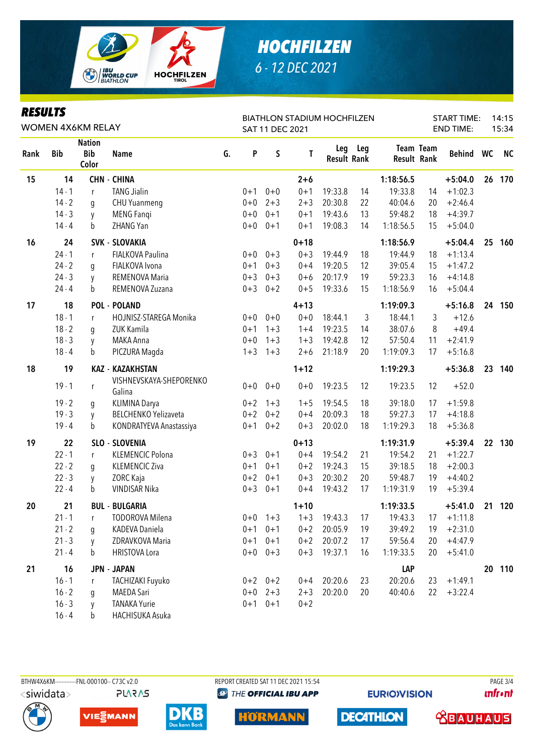

# **HOCHFILZEN** 6 - 12 DEC 2021

| <b>RESULTS</b><br><b>WOMEN 4X6KM RELAY</b> |            |                                      |                                   |    |         | SAT 11 DEC 2021 |          | <b>BIATHLON STADIUM HOCHFILZEN</b> |         | <b>START TIME:</b><br><b>END TIME:</b> |           |           |    |           |
|--------------------------------------------|------------|--------------------------------------|-----------------------------------|----|---------|-----------------|----------|------------------------------------|---------|----------------------------------------|-----------|-----------|----|-----------|
| Rank                                       | <b>Bib</b> | <b>Nation</b><br><b>Bib</b><br>Color | <b>Name</b>                       | G. | P       | $\sf S$         | T        | <b>Result Rank</b>                 | Leg Leg | <b>Result Rank</b>                     | Team Team | Behind    | WC | <b>NC</b> |
| 15                                         | 14         |                                      | <b>CHN - CHINA</b>                |    |         |                 | $2 + 6$  |                                    |         | 1:18:56.5                              |           | $+5:04.0$ | 26 | 170       |
|                                            | $14 - 1$   | r                                    | <b>TANG Jialin</b>                |    | $0 + 1$ | $0 + 0$         | $0 + 1$  | 19:33.8                            | 14      | 19:33.8                                | 14        | $+1:02.3$ |    |           |
|                                            | $14 - 2$   | g                                    | <b>CHU Yuanmeng</b>               |    | $0 + 0$ | $2 + 3$         | $2 + 3$  | 20:30.8                            | 22      | 40:04.6                                | 20        | $+2:46.4$ |    |           |
|                                            | $14 - 3$   | y                                    | <b>MENG Fangi</b>                 |    | $0 + 0$ | $0 + 1$         | $0 + 1$  | 19:43.6                            | 13      | 59:48.2                                | 18        | $+4:39.7$ |    |           |
|                                            | $14 - 4$   | b                                    | ZHANG Yan                         |    | $0 + 0$ | $0 + 1$         | $0 + 1$  | 19:08.3                            | 14      | 1:18:56.5                              | 15        | $+5:04.0$ |    |           |
| 16                                         | 24         |                                      | <b>SVK - SLOVAKIA</b>             |    |         |                 | $0 + 18$ |                                    |         | 1:18:56.9                              |           | $+5:04.4$ | 25 | 160       |
|                                            | $24 - 1$   | r                                    | FIALKOVA Paulina                  |    | $0 + 0$ | $0 + 3$         | $0 + 3$  | 19:44.9                            | 18      | 19:44.9                                | 18        | $+1:13.4$ |    |           |
|                                            | $24 - 2$   | q                                    | FIALKOVA Ivona                    |    | $0 + 1$ | $0 + 3$         | $0 + 4$  | 19:20.5                            | 12      | 39:05.4                                | 15        | $+1:47.2$ |    |           |
|                                            | $24 - 3$   | y                                    | REMENOVA Maria                    |    | $0 + 3$ | $0 + 3$         | $0 + 6$  | 20:17.9                            | 19      | 59:23.3                                | 16        | $+4:14.8$ |    |           |
|                                            | $24 - 4$   | b                                    | REMENOVA Zuzana                   |    | $0 + 3$ | $0 + 2$         | $0 + 5$  | 19:33.6                            | 15      | 1:18:56.9                              | 16        | $+5:04.4$ |    |           |
| 17                                         | 18         |                                      | <b>POL - POLAND</b>               |    |         |                 | $4 + 13$ |                                    |         | 1:19:09.3                              |           | $+5:16.8$ | 24 | 150       |
|                                            | $18 - 1$   | r                                    | HOJNISZ-STAREGA Monika            |    | $0 + 0$ | $0 + 0$         | $0 + 0$  | 18:44.1                            | 3       | 18:44.1                                | 3         | $+12.6$   |    |           |
|                                            | $18 - 2$   | q                                    | ZUK Kamila                        |    | $0 + 1$ | $1 + 3$         | $1 + 4$  | 19:23.5                            | 14      | 38:07.6                                | 8         | $+49.4$   |    |           |
|                                            | $18 - 3$   | y                                    | MAKA Anna                         |    | $0 + 0$ | $1 + 3$         | $1 + 3$  | 19:42.8                            | 12      | 57:50.4                                | 11        | $+2:41.9$ |    |           |
|                                            | $18 - 4$   | b                                    | PICZURA Magda                     |    | $1 + 3$ | $1 + 3$         | $2 + 6$  | 21:18.9                            | 20      | 1:19:09.3                              | 17        | $+5:16.8$ |    |           |
| 18                                         | 19         |                                      | <b>KAZ - KAZAKHSTAN</b>           |    |         |                 | $1 + 12$ |                                    |         | 1:19:29.3                              |           | $+5:36.8$ | 23 | 140       |
|                                            | $19 - 1$   | r                                    | VISHNEVSKAYA-SHEPORENKO<br>Galina |    | $0 + 0$ | $0 + 0$         | $0 + 0$  | 19:23.5                            | 12      | 19:23.5                                | 12        | $+52.0$   |    |           |
|                                            | $19 - 2$   | g                                    | <b>KLIMINA Darya</b>              |    | $0 + 2$ | $1 + 3$         | $1 + 5$  | 19:54.5                            | 18      | 39:18.0                                | 17        | $+1:59.8$ |    |           |
|                                            | $19 - 3$   | y                                    | <b>BELCHENKO Yelizaveta</b>       |    | $0 + 2$ | $0 + 2$         | $0 + 4$  | 20:09.3                            | 18      | 59:27.3                                | 17        | $+4:18.8$ |    |           |
|                                            | $19 - 4$   | b                                    | KONDRATYEVA Anastassiya           |    | $0 + 1$ | $0 + 2$         | $0 + 3$  | 20:02.0                            | 18      | 1:19:29.3                              | 18        | $+5:36.8$ |    |           |
| 19                                         | 22         |                                      | SLO - SLOVENIA                    |    |         |                 | $0 + 13$ |                                    |         | 1:19:31.9                              |           | $+5:39.4$ | 22 | 130       |
|                                            | $22 - 1$   | r                                    | <b>KLEMENCIC Polona</b>           |    | $0 + 3$ | $0 + 1$         | $0 + 4$  | 19:54.2                            | 21      | 19:54.2                                | 21        | $+1:22.7$ |    |           |
|                                            | $22 - 2$   | q                                    | <b>KLEMENCIC Ziva</b>             |    | $0 + 1$ | $0 + 1$         | $0 + 2$  | 19:24.3                            | 15      | 39:18.5                                | 18        | $+2:00.3$ |    |           |
|                                            | $22 - 3$   | y                                    | ZORC Kaja                         |    | $0 + 2$ | $0 + 1$         | $0 + 3$  | 20:30.2                            | 20      | 59:48.7                                | 19        | $+4:40.2$ |    |           |
|                                            | $22 - 4$   | b                                    | <b>VINDISAR Nika</b>              |    | $0 + 3$ | $0 + 1$         | $0 + 4$  | 19:43.2                            | 17      | 1:19:31.9                              | 19        | $+5:39.4$ |    |           |
| 20                                         | 21         |                                      | <b>BUL - BULGARIA</b>             |    |         |                 | $1 + 10$ |                                    |         | 1:19:33.5                              |           | $+5:41.0$ | 21 | 120       |
|                                            | $21 - 1$   | r                                    | <b>TODOROVA Milena</b>            |    | $0+0$   | $1 + 3$         | $1 + 3$  | 19:43.3                            | 17      | 19:43.3                                | 17        | $+1:11.8$ |    |           |
|                                            | $21 - 2$   | g                                    | KADEVA Daniela                    |    | $0 + 1$ | $0 + 1$         | $0 + 2$  | 20:05.9                            | 19      | 39:49.2                                | 19        | $+2:31.0$ |    |           |
|                                            | $21 - 3$   | y                                    | ZDRAVKOVA Maria                   |    | $0 + 1$ | $0 + 1$         | $0 + 2$  | 20:07.2                            | 17      | 59:56.4                                | 20        | $+4:47.9$ |    |           |
|                                            | $21 - 4$   | b                                    | <b>HRISTOVA Lora</b>              |    | $0+0$   | $0 + 3$         | $0 + 3$  | 19:37.1                            | 16      | 1:19:33.5                              | 20        | $+5:41.0$ |    |           |
| 21                                         | 16         |                                      | <b>JPN - JAPAN</b>                |    |         |                 |          |                                    |         | <b>LAP</b>                             |           |           |    | 20 110    |
|                                            | $16 - 1$   | $\mathsf{r}$                         | TACHIZAKI Fuyuko                  |    |         | $0+2$ $0+2$     | $0 + 4$  | 20:20.6                            | 23      | 20:20.6                                | 23        | $+1:49.1$ |    |           |
|                                            | $16 - 2$   | q                                    | MAEDA Sari                        |    | $0+0$   | $2 + 3$         | $2 + 3$  | 20:20.0                            | 20      | 40:40.6                                | 22        | $+3:22.4$ |    |           |
|                                            | $16 - 3$   | V                                    | <b>TANAKA Yurie</b>               |    |         | $0+1$ $0+1$     | $0 + 2$  |                                    |         |                                        |           |           |    |           |



VIE<sub>E</sub>MANN

HACHISUKA Asuka

 $b$ 

BTHW4X6KM-------------FNL-000100-- C73C v2.0 <siwidata> **PLARAS** 

 $16 - 4$ 

REPORT CREATED SAT 11 DEC 2021 15:54 **@ THE OFFICIAL IBU APP** 

Horma

**EURIO)VISION** 

**DECATHLON** 

**PAGE 3/4 unfront** 





**ABAUHAUS**